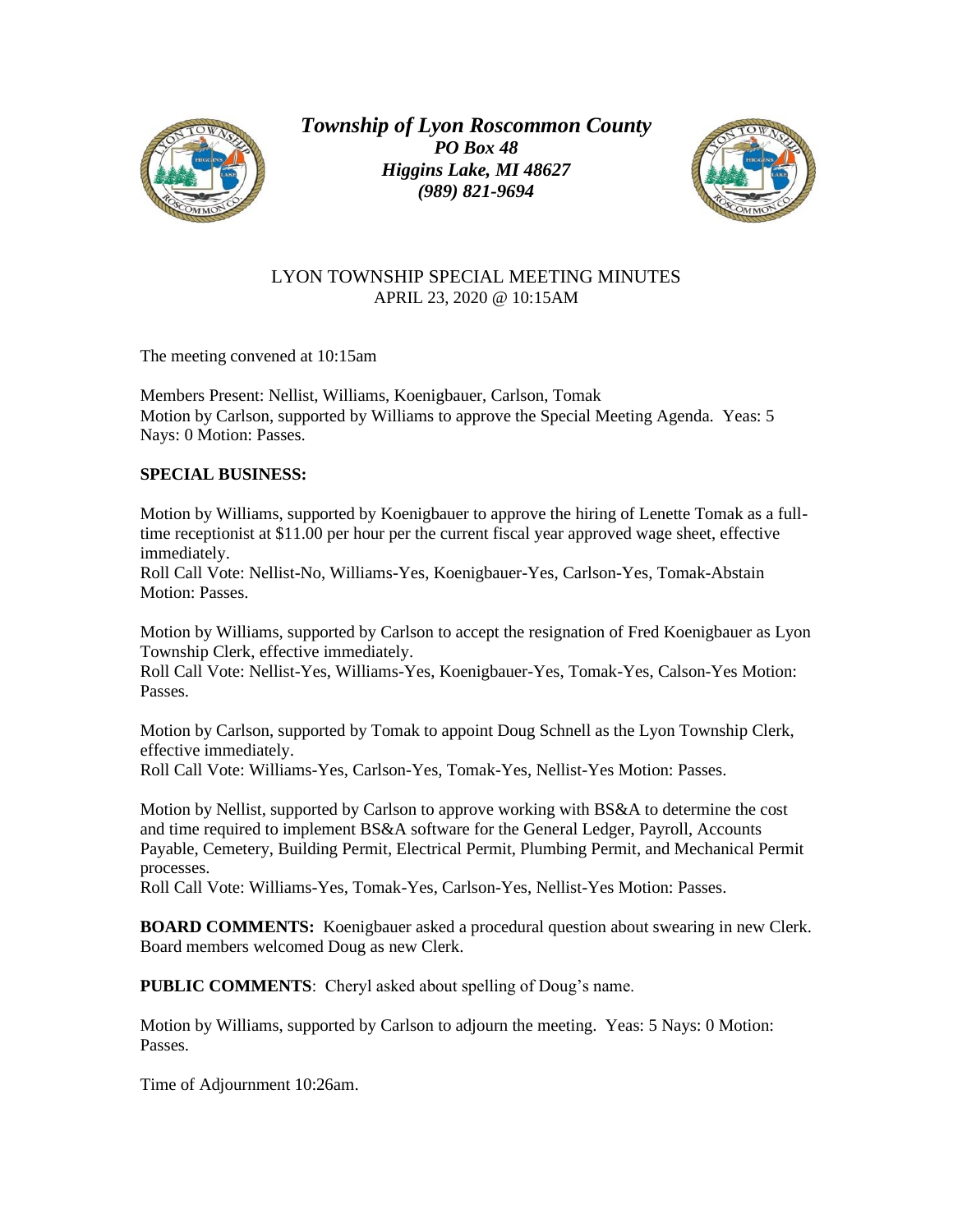

*Township of Lyon Roscommon County PO Box 48 Higgins Lake, MI 48627 (989) 821-9694*



## LYON TOWNSHIP SPECIAL MEETING MINUTES APRIL 23, 2020 @ 10:15AM

The meeting convened at 10:15am

Members Present: Nellist, Williams, Koenigbauer, Carlson, Tomak Motion by Carlson, supported by Williams to approve the Special Meeting Agenda. Yeas: 5 Nays: 0 Motion: Passes.

## **SPECIAL BUSINESS:**

Motion by Williams, supported by Koenigbauer to approve the hiring of Lenette Tomak as a fulltime receptionist at \$11.00 per hour per the current fiscal year approved wage sheet, effective immediately.

Roll Call Vote: Nellist-No, Williams-Yes, Koenigbauer-Yes, Carlson-Yes, Tomak-Abstain Motion: Passes.

Motion by Williams, supported by Carlson to accept the resignation of Fred Koenigbauer as Lyon Township Clerk, effective immediately.

Roll Call Vote: Nellist-Yes, Williams-Yes, Koenigbauer-Yes, Tomak-Yes, Calson-Yes Motion: Passes.

Motion by Carlson, supported by Tomak to appoint Doug Schnell as the Lyon Township Clerk, effective immediately.

Roll Call Vote: Williams-Yes, Carlson-Yes, Tomak-Yes, Nellist-Yes Motion: Passes.

Motion by Nellist, supported by Carlson to approve working with BS&A to determine the cost and time required to implement BS&A software for the General Ledger, Payroll, Accounts Payable, Cemetery, Building Permit, Electrical Permit, Plumbing Permit, and Mechanical Permit processes.

Roll Call Vote: Williams-Yes, Tomak-Yes, Carlson-Yes, Nellist-Yes Motion: Passes.

**BOARD COMMENTS:** Koenigbauer asked a procedural question about swearing in new Clerk. Board members welcomed Doug as new Clerk.

**PUBLIC COMMENTS:** Cheryl asked about spelling of Doug's name.

Motion by Williams, supported by Carlson to adjourn the meeting. Yeas: 5 Nays: 0 Motion: Passes.

Time of Adjournment 10:26am.